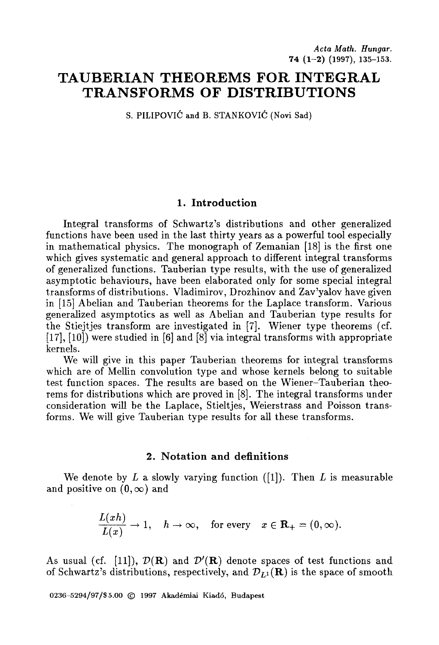# **TAUBERIAN THEOREMS FOR INTEGRAL TRANSFORMS OF DISTRIBUTIONS**

S. PILIPOVIĆ and B. STANKOVIĆ (Novi Sad)

## 1. **Introduction**

Integral transforms of Schwartz's distributions and other generalized functions have been used in the last thirty years as a powerful tool especially in mathematical physics. The monograph of Zemanian [18] is the first one which gives systematic and general approach to different integral transforms of generalized functions. Tauberian type results, with the use of generalized asymptotic behaviours, have been elaborated only for some special integral transforms of distributions. Vladimirov, Drozhinov and Zav'yalov have given in [15] Abelian and Tauberian theorems for the Laplace transform. Various generalized asymptotics as well as Abelian and Tauberian type results for the Stiejtjes transform are investigated in [7]. Wiener type theorems (cf.  $[17]$ ,  $[10]$ ) were studied in  $[6]$  and  $[8]$  via integral transforms with appropriate kernels.

We will give in this paper Tauberian theorems for integral transforms which are of Mellin convolution type and whose kernels belong to suitable test function spaces. The results are based on the Wiener-Tauberian theorems for distributions which are proved in [8]. The integral transforms under consideration will be the Laplace, Stieltjes, Weierstrass and Poisson transforms. We will give Tauberian type results for all these transforms.

#### **2. Notation and definitions**

We denote by  $L$  a slowly varying function ([1]). Then  $L$  is measurable and positive on  $(0, \infty)$  and

$$
\frac{L(xh)}{L(x)} \to 1, \quad h \to \infty, \quad \text{for every} \quad x \in \mathbf{R}_{+} = (0, \infty).
$$

As usual (cf. [11]),  $\mathcal{D}(\mathbf{R})$  and  $\mathcal{D}'(\mathbf{R})$  denote spaces of test functions and of Schwartz's distributions, respectively, and  $\mathcal{D}_{1,1}(\mathbf{R})$  is the space of smooth

0236-5294/97/\$5.00 © 1997 Akadémiai Kiadó, Budapest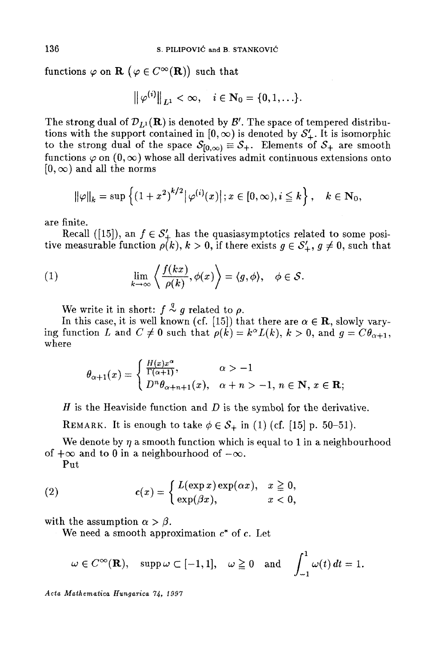functions  $\varphi$  on  $\mathbf{R}$  ( $\varphi \in C^{\infty}(\mathbf{R})$ ) such that

$$
\big\|\,\varphi^{(i)}\big\|_{L^1}<\infty,\quad i\in\mathbf{N}_0=\{0,1,\ldots\}.
$$

The strong dual of  $\mathcal{D}_{L^1}(\mathbf{R})$  is denoted by  $\mathcal{B}'$ . The space of tempered distributions with the support contained in  $[0, \infty)$  is denoted by  $S'_{+}$ . It is isomorphic to the strong dual of the space  $S_{[0,\infty)} \equiv S_+$ . Elements of  $S_+$  are smooth functions  $\varphi$  on  $(0, \infty)$  whose all derivatives admit continuous extensions onto  $[0, \infty)$  and all the norms

$$
\|\varphi\|_{k} = \sup \left\{ (1+x^2)^{k/2} |\varphi^{(i)}(x)| \, ; x \in [0,\infty), i \leqq k \right\}, \quad k \in \mathbb{N}_0,
$$

are finite.

Recall ([15]), an  $f \in S'_{+}$  has the quasiasymptotics related to some positive measurable function  $\rho(k)$ ,  $k > 0$ , if there exists  $g \in S'_{+}$ ,  $g \neq 0$ , such that

(1) 
$$
\lim_{k \to \infty} \left\langle \frac{f(kx)}{\rho(k)}, \phi(x) \right\rangle = \langle g, \phi \rangle, \quad \phi \in \mathcal{S}.
$$

We write it in short:  $f \stackrel{q}{\sim} g$  related to  $\rho$ .

In this case, it is well known (cf. [15]) that there are  $\alpha \in \mathbf{R}$ , slowly varying function L and  $C \neq 0$  such that  $\rho(k) = k^{\alpha}L(k)$ ,  $k > 0$ , and  $q = C\theta_{\alpha+1}$ , where

$$
\theta_{\alpha+1}(x) = \begin{cases} \frac{H(x)x^{\alpha}}{\Gamma(\alpha+1)}, & \alpha > -1 \\ D^n \theta_{\alpha+n+1}(x), & \alpha + n > -1, n \in \mathbb{N}, x \in \mathbb{R}; \end{cases}
$$

H is the Heaviside function and  $D$  is the symbol for the derivative.

REMARK. It is enough to take  $\phi \in \mathcal{S}_+$  in (1) (cf. [15] p. 50-51).

We denote by  $\eta$  a smooth function which is equal to 1 in a neighbourhood of  $+\infty$  and to 0 in a neighbourhood of  $-\infty$ .

Put

(2) 
$$
c(x) = \begin{cases} L(\exp x) \exp(\alpha x), & x \geq 0, \\ \exp(\beta x), & x < 0, \end{cases}
$$

with the assumption  $\alpha > \beta$ .

We need a smooth approximation  $c^*$  of  $c$ . Let

$$
\omega \in C^{\infty}(\mathbf{R}), \text{ supp } \omega \subset [-1,1], \omega \geq 0 \text{ and } \int_{-1}^{1} \omega(t) dt = 1.
$$

*Acta Mathematica Huugarica 7It, t997*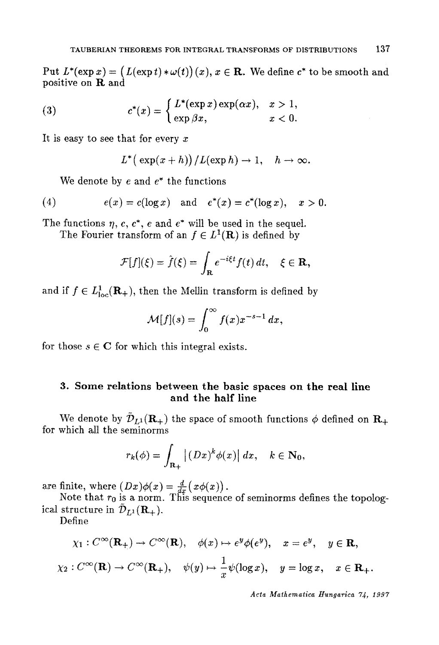Put  $L^*(\exp x) = (L(\exp t) * \omega(t))(x), x \in \mathbb{R}$ . We define  $c^*$  to be smooth and positive on  $\overline{\mathbf{R}}$  and

(3) 
$$
c^*(x) = \begin{cases} L^*(\exp x) \exp(\alpha x), & x > 1, \\ \exp \beta x, & x < 0. \end{cases}
$$

It is easy to see that for every  $x$ 

$$
L^*\big(\exp(x+h)\big)/L(\exp h)\to 1,\quad h\to\infty.
$$

We denote by  $e$  and  $e^*$  the functions

(4) 
$$
e(x) = c(\log x)
$$
 and  $e^*(x) = c^*(\log x)$ ,  $x > 0$ .

The functions  $\eta$ ,  $c$ ,  $c^*$ ,  $e$  and  $e^*$  will be used in the sequel.

The Fourier transform of an  $f \in L^1(\mathbf{R})$  is defined by

$$
\mathcal{F}[f](\xi) = \hat{f}(\xi) = \int_{\mathbf{R}} e^{-i\xi t} f(t) dt, \quad \xi \in \mathbf{R},
$$

and if  $f \in L^1_{loc}(\mathbf{R}_+),$  then the Mellin transform is defined by

$$
\mathcal{M}[f](s) = \int_0^\infty f(x) x^{-s-1} dx,
$$

for those  $s \in \mathbb{C}$  for which this integral exists.

## **3. Some relations between the basic spaces on the real line and the half line**

We denote by  $\tilde{\mathcal{D}}_{L^1}(\mathbf{R}_+)$  the space of smooth functions  $\phi$  defined on  $\mathbf{R}_+$ for which all the seminorms

$$
r_k(\phi) = \int_{\mathbf{R}_+} |(Dx)^k \phi(x)| dx, \quad k \in \mathbf{N}_0,
$$

are finite, where  $(Dx)\phi(x) = \frac{d}{dx}(x\phi(x))$ 

Note that  $r_0$  is a norm. This sequence of seminorms defines the topological structure in  $\tilde{\mathcal{D}}_{L1}(\mathbf{R}_{+}).$ 

Define

$$
\chi_1: C^{\infty}(\mathbf{R}_+) \to C^{\infty}(\mathbf{R}), \quad \phi(x) \mapsto e^y \phi(e^y), \quad x = e^y, \quad y \in \mathbf{R},
$$
  

$$
\chi_2: C^{\infty}(\mathbf{R}) \to C^{\infty}(\mathbf{R}_+), \quad \psi(y) \mapsto \frac{1}{x} \psi(\log x), \quad y = \log x, \quad x \in \mathbf{R}_+
$$

*Acta Maghematica Hungarica 7.,~, I997*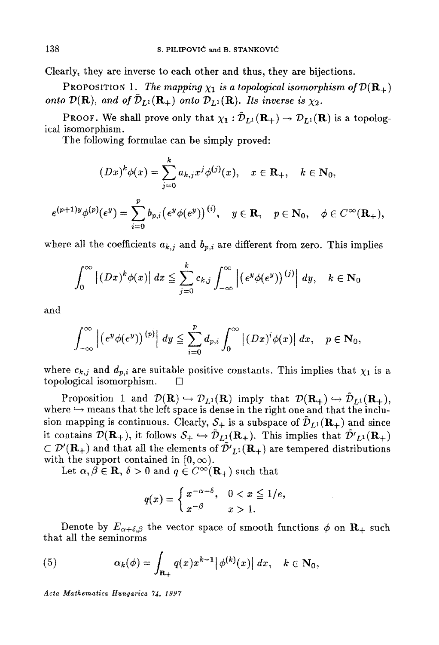Clearly, they are inverse to each other and thus, they are bijections.

PROPOSITION 1. *The mapping*  $\chi_1$  *is a topological isomorphism of*  $\mathcal{D}(\mathbf{R}_+)$ *onto*  $\mathcal{D}(\mathbf{R})$ , and of  $\tilde{\mathcal{D}}_{L^1}(\mathbf{R}_+)$  onto  $\mathcal{D}_{L^1}(\mathbf{R})$ . Its inverse is  $\chi_2$ .

PROOF. We shall prove only that  $\chi_1 : \tilde{\mathcal{D}}_{L_1}(\mathbf{R}_+) \to \mathcal{D}_{L_1}(\mathbf{R})$  is a topological isomorphism.

The following formulae can be simply proved:

$$
(Dx)^{k}\phi(x) = \sum_{j=0}^{k} a_{k,j}x^{j}\phi^{(j)}(x), \quad x \in \mathbf{R}_{+}, \quad k \in \mathbf{N}_{0},
$$

$$
e^{(p+1)y}\phi^{(p)}(e^y)=\sum_{i=0}^p b_{p,i}(e^y\phi(e^y))^{(i)}, \quad y\in\mathbf{R}, \quad p\in\mathbf{N}_0, \quad \phi\in C^\infty(\mathbf{R}_+),
$$

where all the coefficients  $a_{k,j}$  and  $b_{p,i}$  are different from zero. This implies

$$
\int_0^\infty \left| (Dx)^k \phi(x) \right| dx \leqq \sum_{j=0}^k c_{k,j} \int_{-\infty}^\infty \left| \left( e^y \phi(e^y) \right)^{(j)} \right| dy, \quad k \in \mathbb{N}_0
$$

and

$$
\int_{-\infty}^{\infty}\left|\left(e^{y}\phi(e^{y})\right)^{(p)}\right|\,dy\leq \sum_{i=0}^{p}d_{p,i}\int_{0}^{\infty}\left|\left(Dx\right)^{i}\phi(x)\right|\,dx,\quad p\in \mathbf{N}_{0},
$$

where  $c_{k,j}$  and  $d_{p,i}$  are suitable positive constants. This implies that  $\chi_1$  is a topological isomorphism.  $\square$ 

Proposition 1 and  $\mathcal{D}(\mathbf{R}) \hookrightarrow \mathcal{D}_{L^1}(\mathbf{R})$  imply that  $\mathcal{D}(\mathbf{R}_+) \hookrightarrow \tilde{\mathcal{D}}_{L^1}(\mathbf{R}_+),$ where  $\hookrightarrow$  means that the left space is dense in the right one and that the inclusion mapping is continuous. Clearly,  $S_+$  is a subspace of  $\mathcal{D}_{L_1}(\mathbf{R}_+)$  and since it contains  $\mathcal{D}(\mathbf{R}_+)$ , it follows  $S_+ \hookrightarrow \tilde{\mathcal{D}}_{L^1}(\mathbf{R}_+)$ . This implies that  $\tilde{\mathcal{D}}'_{L^1}(\mathbf{R}_+)$  $\subset \mathcal{D}'(\mathbf{R}_+)$  and that all the elements of  $\tilde{\mathcal{D}}'_{L_1}(\mathbf{R}_+)$  are tempered distributions with the support contained in  $[0, \infty)$ .

Let  $\alpha, \beta \in \mathbf{R}, \delta > 0$  and  $q \in C^{\infty}(\mathbf{R}_{+})$  such that

$$
q(x) = \begin{cases} x^{-\alpha-\delta}, & 0 < x \leq 1/e, \\ x^{-\beta} & x > 1. \end{cases}
$$

Denote by  $E_{\alpha+\delta,\beta}$  the vector space of smooth functions  $\phi$  on  $\mathbf{R}_{+}$  such that all the seminorms

(5) 
$$
\alpha_k(\phi) = \int_{\mathbf{R}_+} q(x) x^{k-1} |\phi^{(k)}(x)| dx, \quad k \in \mathbf{N}_0,
$$

*Acta Mathematica Hungarica 74, t997*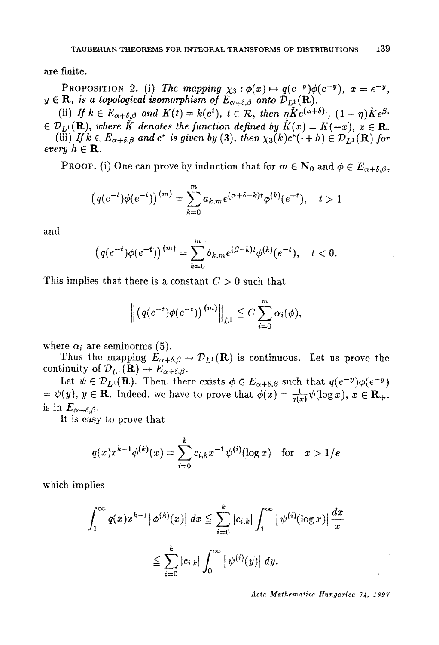are finite.

PROPOSITION 2. (i) *The mapping*  $\chi_3 : \phi(x) \mapsto q(e^{-y})\phi(e^{-y}), x = e^{-y}$ ,  $y \in \mathbf{R}$ , is a topological isomorphism of  $\widetilde{E}_{\alpha+\delta,\beta}$  onto  $\widehat{\mathcal{D}}_{L^1}(\mathbf{R})$ .

(ii) If  $k \in E_{\alpha+\delta,\beta}$  and  $K(t) = k(e^t)$ ,  $t \in \mathcal{R}$ , then  $\eta \check{K}e^{(\alpha+\delta)}$ ,  $(1-\eta)\check{K}e^{\beta}$ .  $E \in \mathcal{D}_{L_1}(\mathbf{R})$ , where  $\hat{K}$  denotes the function defined by  $\check{K}(x) = K(-x)$ ,  $x \in \mathbf{R}$ . (iii) *If*  $k \in E_{\alpha+\delta,\beta}$  and  $c^*$  is given by (3), then  $\chi_3(k)c^*(+h) \in \mathcal{D}_{L_1}(\mathbf{R})$  for *every*  $h \in \mathbf{R}$ .

PROOF. (i) One can prove by induction that for  $m \in \mathbb{N}_0$  and  $\phi \in E_{\alpha+\delta,\beta}$ ,

$$
(q(e^{-t})\phi(e^{-t}))^{(m)} = \sum_{k=0}^{m} a_{k,m} e^{(\alpha+\delta-k)t} \phi^{(k)}(e^{-t}), \quad t > 1
$$

and

$$
(q(e^{-t})\phi(e^{-t}))^{(m)} = \sum_{k=0}^{m} b_{k,m}e^{(\beta-k)t}\phi^{(k)}(e^{-t}), \quad t < 0.
$$

This implies that there is a constant  $C > 0$  such that

$$
\left\| \left( q(e^{-t}) \phi(e^{-t}) \right)^{(m)} \right\|_{L^1} \leqq C \sum_{i=0}^m \alpha_i(\phi),
$$

where  $\alpha_i$  are seminorms (5).

Thus the mapping  $\hat{E}_{\alpha+\delta,\beta} \to \mathcal{D}_{L_1}(\mathbf{R})$  is continuous. Let us prove the continuity of  $\mathcal{D}_{L^1}(\mathbf{R}) \to E_{\alpha+\delta,\beta}$ .

Let  $\psi \in \mathcal{D}_{L^{1}}(\mathbf{R})$ . Then, there exists  $\phi \in E_{\alpha+\delta,\beta}$  such that  $q(e^{-y})\phi(e^{-y})$  $\psi(y), y \in \mathbf{R}$ . Indeed, we have to prove that  $\phi(x) = \frac{1}{g(x)} \psi(\log x), x \in \mathbf{R}_+,$ is in  $E_{\alpha+\delta,\beta}$ .

It is easy to prove that

$$
q(x)x^{k-1}\phi^{(k)}(x) = \sum_{i=0}^{k} c_{i,k}x^{-1}\psi^{(i)}(\log x) \text{ for } x > 1/e
$$

which implies

$$
\int_{1}^{\infty} q(x)x^{k-1} |\phi^{(k)}(x)| dx \leq \sum_{i=0}^{k} |c_{i,k}| \int_{1}^{\infty} |\psi^{(i)}(\log x)| \frac{dx}{x}
$$
  

$$
\leq \sum_{i=0}^{k} |c_{i,k}| \int_{0}^{\infty} |\psi^{(i)}(y)| dy.
$$

*Acta Mathematica Hungarica 7~, 1997*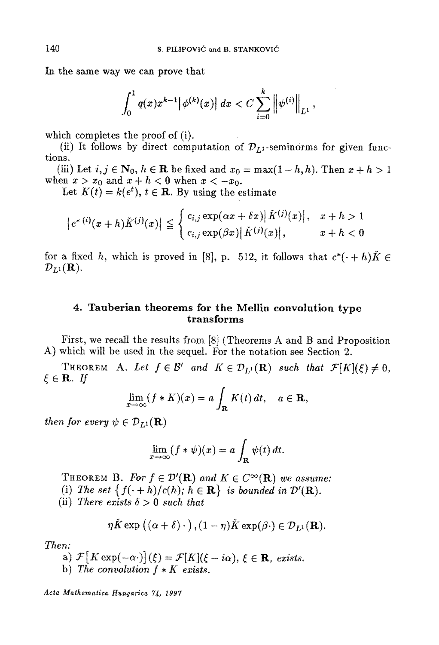In the same way we can prove that

$$
\int_0^1 q(x)x^{k-1} |\phi^{(k)}(x)| dx < C \sum_{i=0}^k ||\psi^{(i)}||_{L^1},
$$

which completes the proof of (i).

(ii) It follows by direct computation of  $\mathcal{D}_{L_1}$ -seminorms for given functions.

(iii) Let  $i, j \in \mathbb{N}_0$ ,  $h \in \mathbb{R}$  be fixed and  $x_0 = \max(1-h,h)$ . Then  $x + h > 1$ when  $x > x_0$  and  $x + h < 0$  when  $x < -x_0$ .

Let  $K(t) = k(e^t)$ ,  $t \in \mathbb{R}$ . By using the estimate

$$
|c^{*(i)}(x+h)\check{K}^{(j)}(x)| \leq \begin{cases} c_{i,j} \exp(\alpha x + \delta x) |\check{K}^{(j)}(x)|, & x+h > 1 \\ c_{i,j} \exp(\beta x) |\check{K}^{(j)}(x)|, & x+h < 0 \end{cases}
$$

for a fixed h, which is proved in [8], p. 512, it follows that  $c^*(\cdot + h)K \in$  ${\cal D}_{L1}({\bf R}).$ 

# 4. Tauberian theorems for the Mellin convolution type transforms

First, we recall the results from [8] (Theorems A and B and Proposition A) which will be used in the sequel. For the notation see Section 2.

THEOREM A. Let  $f \in \mathcal{B}'$  and  $K \in \mathcal{D}_{L}(\mathbf{R})$  such that  $\mathcal{F}[K](\xi) \neq 0$ ,  $\xi \in \mathbf{R}$ . If

$$
\lim_{x \to \infty} (f * K)(x) = a \int_{\mathbf{R}} K(t) dt, \quad a \in \mathbf{R},
$$

*then for every*  $\psi \in \mathcal{D}_{L_1}(\mathbf{R})$ 

$$
\lim_{x \to \infty} (f * \psi)(x) = a \int_{\mathbf{R}} \psi(t) dt.
$$

THEOREM B. For  $f \in \mathcal{D}'(\mathbf{R})$  and  $K \in C^{\infty}(\mathbf{R})$  we assume:

(i) The set  $\{f(\cdot+h)/c(h); h \in \mathbf{R}\}\$ is bounded in  $\mathcal{D}'(\mathbf{R})$ .

(ii) *There exists*  $\delta > 0$  *such that* 

$$
\eta \check{K} \exp ((\alpha + \delta) \cdot), (1 - \eta) \check{K} \exp(\beta \cdot) \in \mathcal{D}_{L^{1}}(\mathbf{R}).
$$

*Then:* 

- a)  $\mathcal{F}[K \exp(-\alpha \cdot)](\xi) = \mathcal{F}[K](\xi i\alpha), \xi \in \mathbf{R}$ , exists.
- b) The convolution  $f * K$  exists.

*Acta Mathema~ica Hungavica 7~(, 1997*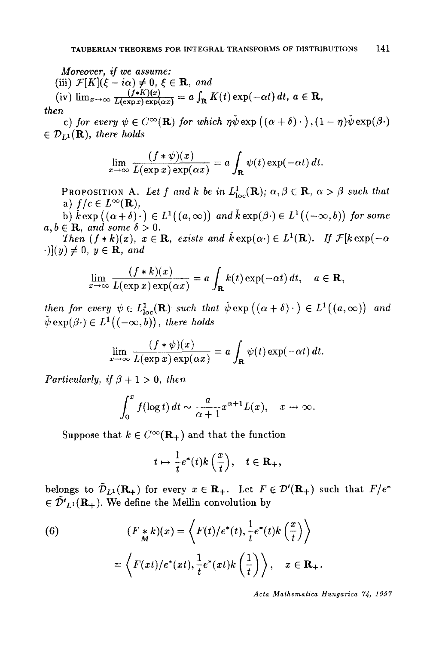*Moreover, if we assume:*   $(iii)$   $\mathcal{F}[K](\xi - i\alpha) \neq 0, \xi \in \mathbf{R}$ , and

 $\lim_{x\to\infty} \frac{\sqrt{x+K/(x)}}{L(\exp x)\exp(\alpha x)} = a \int_{\mathbf{R}} K(t) \exp(-\alpha t) dt, a \in \mathbf{R},$ *then* 

c) for every  $\psi \in C^{\infty}(\mathbf{R})$  for which  $\eta \check{\psi} \exp((\alpha + \delta) \cdot), (1 - \eta) \check{\psi} \exp(\beta \cdot)$  $\in \mathcal{D}_{L,1}(\mathbf{R})$ , there holds

$$
\lim_{x \to \infty} \frac{(f * \psi)(x)}{L(\exp x) \exp(\alpha x)} = a \int_{\mathbf{R}} \psi(t) \exp(-\alpha t) dt.
$$

PROPOSITION A. Let f and k be in  $L^1_{loc}(\mathbf{R}); \alpha, \beta \in \mathbf{R}, \alpha > \beta$  such that *a)*  $f/c \in L^{\infty}(\mathbf{R}),$ 

b)  $\check{k}$  exp  $((\alpha+\delta)^{\cdot}) \in L^1((a,\infty))$  and  $\check{k}$  exp $(\beta \cdot) \in L^1((-\infty,b))$  for some  $a, b \in \mathbf{R}$ , and some  $\delta > 0$ .

*Then*  $(f * k)(x)$ ,  $x \in \mathbf{R}$ , exists and  $\check{k} \exp(\alpha \cdot) \in L^1(\mathbf{R})$ . If  $\mathcal{F}[k \exp(-\alpha \cdot)]$  $\cdot$ j(y)  $\neq$  0, y  $\in$  **R**, and

$$
\lim_{x \to \infty} \frac{(f * k)(x)}{L(\exp x) \exp(\alpha x)} = a \int_{\mathbf{R}} k(t) \exp(-\alpha t) dt, \quad a \in \mathbf{R},
$$

*then for every*  $\psi \in L^1_{loc}(\mathbf{R})$  *such that*  $\check{\psi}$  exp $((\alpha + \delta) \cdot) \in L^1((a, \infty))$  *and*  $\check{\psi}$  exp( $\beta$ ·)  $\in L^1((-\infty, b))$ , there holds

$$
\lim_{x \to \infty} \frac{(f * \psi)(x)}{L(\exp x) \exp(\alpha x)} = a \int_{\mathbf{R}} \psi(t) \exp(-\alpha t) dt.
$$

*Particularly, if*  $\beta + 1 > 0$ *, then* 

$$
\int_0^x f(\log t) dt \sim \frac{a}{\alpha+1} x^{\alpha+1} L(x), \quad x \to \infty.
$$

Suppose that  $k \in C^{\infty}(\mathbf{R}_{+})$  and that the function

$$
t \mapsto \frac{1}{t} e^*(t) k\left(\frac{x}{t}\right), \quad t \in \mathbf{R}_+,
$$

belongs to  $\tilde{\mathcal{D}}_{L^1}(\mathbf{R}_+)$  for every  $x \in \mathbf{R}_+$ . Let  $F \in \mathcal{D}'(\mathbf{R}_+)$  such that  $F/e^*$  $\in \bar{\cal D'}_{L^1}({\bf R}_+)$ . We define the Mellin convolution by

(6) 
$$
(F_{\stackrel{*}{M}}^*k)(x) = \left\langle F(t)/e^*(t), \frac{1}{t}e^*(t)k\left(\frac{x}{t}\right) \right\rangle
$$

$$
= \left\langle F(xt)/e^*(xt), \frac{1}{t}e^*(xt)k\left(\frac{1}{t}\right) \right\rangle, \quad x \in \mathbf{R}_+
$$

*Acta Mathematica Hungarica 74, 1997*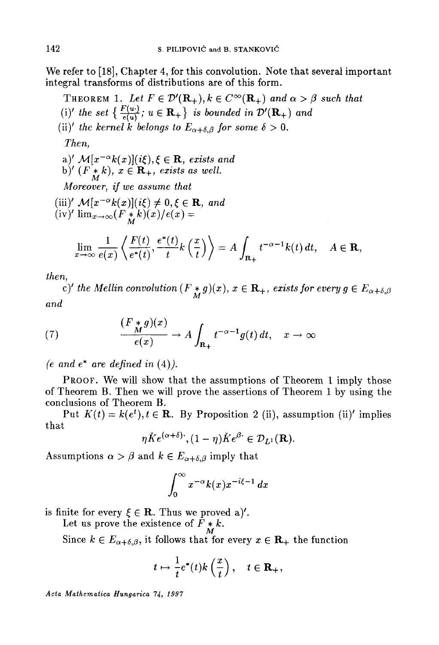We refer to [18], Chapter 4, for this convolution. Note that several important integral transforms of distributions are of this form.

THEOREM 1. Let  $F \in \mathcal{D}'(\mathbf{R}_+), k \in C^{\infty}(\mathbf{R}_+)$  and  $\alpha > \beta$  such that (i)' *the set*  $\left\{ \frac{F(u)}{e(u)} \right\}$ ;  $u \in \mathbf{R}_+$  *is bounded in*  $\mathcal{D}'(\mathbf{R}_+)$  *and* (ii)' the kernel k belongs to  $E_{\alpha+\delta,\beta}$  for some  $\delta > 0$ . *Then,*  a)'  $\mathcal{M}[x^{-\alpha}k(x)](i\xi), \xi \in \mathbf{R}$ , exists and b)'  $(F * k)$ ,  $x \in \mathbf{R}_+$ , *exists as well. Moreover, if we assume that*   $(iii)'$  *M* $[x^{-\alpha}k(x)](i\xi) \neq 0, \xi \in \mathbf{R}$ *, and*  $(iv)'$   $\lim_{x\to\infty} (F^*_Mk)(x)/e(x) =$  $\lim_{x\to\infty}\frac{1}{e(x)}\left\langle\frac{F(t)}{e^*(t)},\frac{e^*(t)}{t}k\left(\frac{x}{t}\right)\right\rangle=A\int_{\mathbf{R}_+}t^{-\alpha-1}k(t)\,dt,\quad A\in\mathbf{R},$ 

*then,* 

c)' the Mellin convolution  $(F * g)(x)$ ,  $x \in \mathbf{R}_+$ , *exists for every g*  $\in E_{\alpha+\delta,\beta}$ *and* 

(7) 
$$
\frac{(F * g)(x)}{e(x)} \to A \int_{\mathbf{R}_+} t^{-\alpha - 1} g(t) dt, \quad x \to \infty
$$

 $(e$  and  $e^*$  are defined in  $(4)$ ).

PROOF. We will show that the assumptions of Theorem 1 imply those of Theorem B. Then we will prove the assertions of Theorem 1 by using the conclusions of Theorem B.

Put  $K(t) = k(e^t), t \in \mathbb{R}$ . By Proposition 2 (ii), assumption (ii)' implies that

$$
\eta \check{K}e^{(\alpha+\delta)} \cdot (1-\eta)\check{K}e^{\beta} \in \mathcal{D}_{L^{1}}(\mathbf{R}).
$$

Assumptions  $\alpha > \beta$  and  $k \in E_{\alpha+\delta,\beta}$  imply that

$$
\int_0^\infty x^{-\alpha} k(x) x^{-i\xi-1} \, dx
$$

is finite for every  $\xi \in \mathbf{R}$ . Thus we proved a)'.

Let us prove the existence of  $F * k$ .

Since  $k \in E_{\alpha+\delta,\beta}$ , it follows that for every  $x \in \mathbf{R}_+$  the function

$$
t \mapsto \frac{1}{t} e^*(t) k\left(\frac{x}{t}\right), \quad t \in \mathbf{R}_+,
$$

*Acta Mathematica Hungarica* 74, *1997*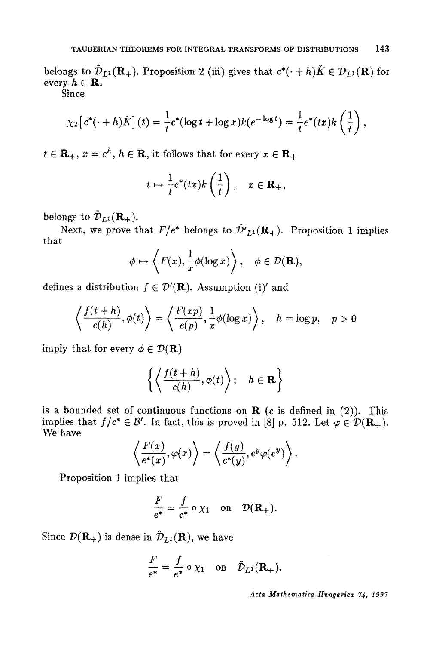belongs to  $\tilde{\mathcal{D}}_{L_1}(\mathbf{R}_+)$ . Proposition 2 (iii) gives that  $c^*(-+h)\check{K} \in \mathcal{D}_{L_1}(\mathbf{R})$  for every  $h \in \mathbf{R}$ .

Since

$$
\chi_2\big[c^*(\cdot+h)\check{K}\big](t) = \frac{1}{t}c^*(\log t + \log x)k(e^{-\log t}) = \frac{1}{t}e^*(tx)k\left(\frac{1}{t}\right),
$$

 $t \in \mathbf{R}_+$ ,  $x = e^h$ ,  $h \in \mathbf{R}$ , it follows that for every  $x \in \mathbf{R}_+$ 

$$
t \mapsto \frac{1}{t} e^*(tx) k\left(\frac{1}{t}\right), \quad x \in \mathbf{R}_+,
$$

belongs to  $\tilde{\mathcal{D}}_{L^{1}}(\mathbf{R}_{+}).$ 

Next, we prove that  $F/e^*$  belongs to  $\tilde{\mathcal{D}}'_{L^1}(\mathbf{R}_+)$ . Proposition 1 implies that

$$
\phi \mapsto \left\langle F(x), \frac{1}{x} \phi(\log x) \right\rangle, \quad \phi \in \mathcal{D}(\mathbf{R}),
$$

defines a distribution  $f \in \mathcal{D}'(\mathbf{R})$ . Assumption (i)' and

$$
\left\langle \frac{f(t+h)}{c(h)}, \phi(t) \right\rangle = \left\langle \frac{F(xp)}{e(p)}, \frac{1}{x} \phi(\log x) \right\rangle, \quad h = \log p, \quad p > 0
$$

imply that for every  $\phi \in \mathcal{D}(\mathbf{R})$ 

$$
\left\{ \left\langle \frac{f(t+h)}{c(h)}, \phi(t) \right\rangle; \quad h \in \mathbf{R} \right\}
$$

is a bounded set of continuous functions on  $R$  (c is defined in (2)). This implies that  $f/c^* \in \mathcal{B}'$ . In fact, this is proved in [8] p. 512. Let  $\varphi \in \mathcal{D}(\mathbf{R}_+).$ We have

$$
\left\langle \frac{F(x)}{e^*(x)}, \varphi(x) \right\rangle = \left\langle \frac{f(y)}{c^*(y)}, e^y \varphi(e^y) \right\rangle.
$$

Proposition 1 implies that

$$
\frac{F}{e^*} = \frac{f}{c^*} \circ \chi_1 \quad \text{on} \quad \mathcal{D}(\mathbf{R}_+).
$$

Since  $\mathcal{D}(\mathbf{R}_+)$  is dense in  $\tilde{\mathcal{D}}_{L^1}(\mathbf{R})$ , we have

$$
\frac{F}{e^*} = \frac{f}{e^*} \circ \chi_1 \quad \text{on} \quad \tilde{\mathcal{D}}_{L^1}(\mathbf{R}_+).
$$

*Acta Mathematica tlungarlca 7.4, i997*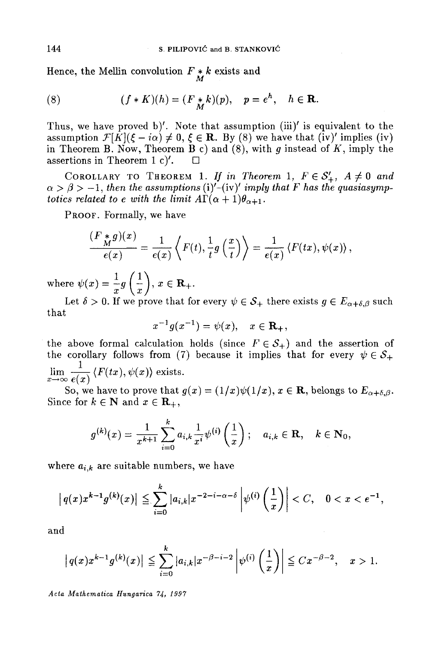Hence, the Mellin convolution  $F * k$  exists and  $\frac{M}{M}$ 

(8) 
$$
(f * K)(h) = (F *_{M} k)(p), \quad p = e^{h}, \quad h \in \mathbf{R}.
$$

Thus, we have proved b)'. Note that assumption  $(iii)'$  is equivalent to the assumption  $\mathcal{F}[K](\xi - i\alpha) \neq 0, \xi \in \mathbf{R}$ . By (8) we have that (iv)' implies (iv) in Theorem B. Now, Theorem B c) and  $(8)$ , with g instead of K, imply the assertions in Theorem 1 c)'.  $\Box$ 

COROLLARY TO THEOREM 1. If in Theorem 1,  $F \in S'_{+}$ ,  $A \neq 0$  and  $\alpha > \beta > -1$ , then the assumptions (i)'-(iv)' *imply that F has the quasiasymptotics related to e with the limit*  $A\Gamma(\alpha+1)\theta_{\alpha+1}$ .

PROOF. Formally, we have

$$
\frac{(F * g)(x)}{e(x)} = \frac{1}{e(x)} \left\langle F(t), \frac{1}{t} g\left(\frac{x}{t}\right) \right\rangle = \frac{1}{e(x)} \left\langle F(tx), \psi(x) \right\rangle,
$$

where  $\psi(x) = \frac{1}{x} g\left(\frac{1}{x}\right), x \in \mathbf{R}_{+}.$ 

Let  $\delta > 0$ . If we prove that for every  $\psi \in S_+$  there exists  $g \in E_{\alpha+\delta,\beta}$  such that

$$
x^{-1}g(x^{-1}) = \psi(x), \quad x \in \mathbf{R}_+,
$$

the above formal calculation holds (since  $F \in S_+$ ) and the assertion of the corollary follows from (7) because it implies that for every  $\psi \in \mathcal{S}_+$  $\lim_{x\to\infty} \frac{1}{e(x)} \langle F(tx), \psi(x) \rangle$  exists.

So, we have to prove that  $g(x) = (1/x)\psi(1/x)$ ,  $x \in \mathbb{R}$ , belongs to  $E_{\alpha+\delta,\beta}$ . Since for  $k \in \mathbb{N}$  and  $x \in \mathbb{R}_+$ ,

$$
g^{(k)}(x) = \frac{1}{x^{k+1}} \sum_{i=0}^{k} a_{i,k} \frac{1}{x^{i}} \psi^{(i)}\left(\frac{1}{x}\right); \quad a_{i,k} \in \mathbf{R}, \quad k \in \mathbf{N}_0,
$$

where  $a_{i,k}$  are suitable numbers, we have

$$
|q(x)x^{k-1}g^{(k)}(x)| \leq \sum_{i=0}^{k} |a_{i,k}|x^{-2-i-\alpha-\delta} \left|\psi^{(i)}\left(\frac{1}{x}\right)\right| < C, \quad 0 < x < e^{-1},
$$

and

$$
|q(x)x^{k-1}g^{(k)}(x)| \leq \sum_{i=0}^{k} |a_{i,k}|x^{-\beta-i-2} |\psi^{(i)}(\frac{1}{x})| \leq C x^{-\beta-2}, \quad x > 1.
$$

*Acta ]l~lathernatica Hungarica 74, 1997*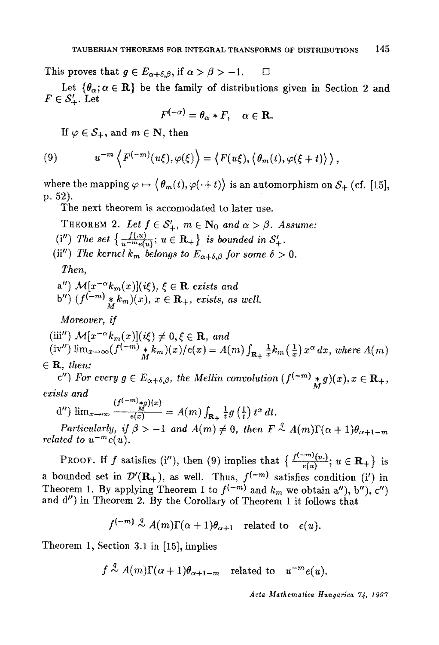This proves that  $q \in E_{\alpha+\beta,\beta}$ , if  $\alpha > \beta > -1$ .  $\Box$ 

Let  $\{\theta_{\alpha}; \alpha \in \mathbf{R}\}\)$  be the family of distributions given in Section 2 and  $F \in \mathcal{S}'_+$ . Let  $\overline{\phantom{a}}$ 

$$
F^{(-\alpha)} = \theta_{\alpha} * F, \quad \alpha \in \mathbf{R}.
$$

If  $\varphi \in \mathcal{S}_+$ , and  $m \in \mathbb{N}$ , then

(9) 
$$
u^{-m}\left\langle F^{(-m)}(u\xi),\varphi(\xi)\right\rangle=\left\langle F(u\xi),\left\langle \theta_m(t),\varphi(\xi+t)\right\rangle\right\rangle,
$$

where the mapping  $\varphi \mapsto \langle \theta_m(t), \varphi(\cdot + t) \rangle$  is an automorphism on  $S_+$  (cf. [15], **p. 52).** 

The next theorem is accomodated to later use.

THEOREM 2. Let  $f \in S'_+$ ,  $m \in N_0$  and  $\alpha > \beta$ . Assume: (i") *The set*  $\left\{\frac{f(u)}{u^{-m}e(u)};\ u \in \mathbf{R}_+\right\}$  *is bounded in S'<sub>+</sub>*. (ii") The kernel  $k_m$  belongs to  $E_{\alpha+\delta,\beta}$  for some  $\delta > 0$ . *Then, a"*)  $\mathcal{M}[x^{-\alpha}k_m(x)](i\xi), \xi \in \mathbf{R}$  exists and  $b^{(n)}$   $(f^{(-m)} * k_m)(x), x \in \mathbf{R}_+$ , exists, as well. *Moreover, if* 

(iii'') 
$$
\mathcal{M}[x^{-\alpha}k_m(x)](i\xi) \neq 0, \xi \in \mathbf{R}
$$
, and  
\n(iv'')  $\lim_{x \to \infty} (f^{(-m)} * k_m)(x)/e(x) = A(m) \int_{\mathbf{R}_+} \frac{1}{x} k_m(\frac{1}{x}) x^{\alpha} dx$ , where  $A(m)$ 

*E R, then:* 

 $c''$ ) *For every g*  $\in E_{\alpha+\delta,\beta}$ , the Mellin convolution  $(f^{(-m)} *_{M} g)(x), x \in \mathbf{R}_{+}$ , *exists and* 

d")  $\lim_{x \to \infty} \frac{(f^{(-m)} * g)(x)}{e(x)} = A(m) \int_{\mathbf{R}_+} \frac{1}{t} g\left(\frac{1}{t}\right) t^{\alpha} dt.$ 

*Particularly, if*  $\beta > -1$  and  $A(m) \neq 0$ , then  $F \stackrel{q}{\sim} A(m)\Gamma(\alpha + 1)\theta_{\alpha+1-m}$ *related to*  $u^{-m}e(u)$ *.* 

**PROOF.** If f satisfies (i''), then (9) implies that  $\{\frac{f^{(-m)}(u)}{e(u)}; u \in \mathbf{R}_+\}$  is a bounded set in  $\mathcal{D}'(\mathbf{R}_+)$ , as well. Thus,  $f^{(-m)}$  satisfies condition (i') in Theorem 1. By applying Theorem 1 to  $f^{(-m)}$  and  $k_m$  we obtain a''), b''), c'') and d") in Theorem 2. By the Corollary of Theorem 1 it follows that

$$
f^{(-m)} \stackrel{q}{\sim} A(m)\Gamma(\alpha+1)\theta_{\alpha+1}
$$
 related to  $e(u)$ .

Theorem 1, Section 3.1 in [15], implies

 $f \stackrel{q}{\sim} A(m)\Gamma(\alpha+1)\theta_{\alpha+1-m}$  related to  $u^{-m}e(u)$ .

*Ac~a Mathematica Hungarlca 74, 1997*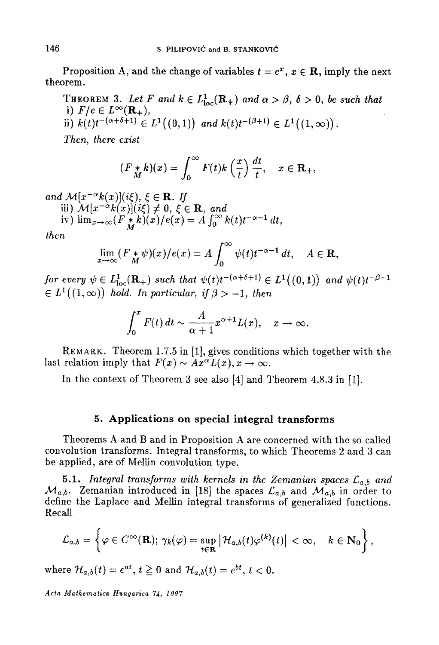Proposition A, and the change of variables  $t = e^x$ ,  $x \in \mathbb{R}$ , imply the next theorem.

THEOREM 3. Let F and  $k \in L^1_{loc}(\mathbf{R}_+)$  and  $\alpha > \beta$ ,  $\delta > 0$ , be such that i)  $F/e \in L^{\infty}(\mathbf{R}_{+}),$ i)  $k(t)t^{-(\alpha+\delta+1)} \in L^1((0,1))$  *and*  $k(t)t^{-(\beta+1)} \in L^1((1,\infty))$ .

*Then, there exist* 

$$
(F_{\stackrel{*}{M}}k)(x) = \int_0^\infty F(t)k\left(\frac{x}{t}\right)\frac{dt}{t}, \quad x \in \mathbf{R}_+,
$$

*and*  $\mathcal{M}[x^{-\alpha}k(x)](i\xi), \xi \in \mathbf{R}$ . If

iii)  $\mathcal{M}[x^{-\alpha}k(x)](i\xi) \neq 0, \xi \in \mathbf{R}$ , and

iv)  $\lim_{x\to\infty} (F * k)(x)/e(x) = A \int_0^\infty k(t) t^{-\alpha-1} dt$ ,

*then* 

$$
\lim_{x \to \infty} (F^*_{M} \psi)(x) / e(x) = A \int_0^{\infty} \psi(t) t^{-\alpha - 1} dt, \quad A \in \mathbf{R},
$$

*for every*  $\psi \in L^1_{loc}(\mathbf{R}_+)$  *such that*  $\psi(t)t^{-(\alpha+\delta+1)} \in L^1((0,1))$  *and*  $\psi(t)t^{-\beta-1}$  $\in L^1((1,\infty))$  *hold. In particular, if*  $\beta > -1$ *, then* 

$$
\int_0^x F(t) dt \sim \frac{A}{\alpha+1} x^{\alpha+1} L(x), \quad x \to \infty.
$$

REMARK. Theorem 1.7.5 in [1], gives conditions which together with the last relation imply that  $F(x) \sim Ax^{\alpha}L(x), x \to \infty$ .

In the context of Theorem 3 see also [4] and Theorem 4.8.3 in [1].

#### **5. Applications on special integral transforms**

Theorems A and B and in Proposition A are concerned with the so-called convolution transforms. Integral transforms, to which Theorems 2 and 3 can be applied, are of Mellin convolution type.

5.1. *Integral transforms with kernels in the Zemanian spaces*  $\mathcal{L}_{a,b}$  and  ${\cal M}_{a,b}$ . Zemanian introduced in [18] the spaces  ${\cal L}_{a,b}$  and  ${\cal M}_{a,b}$  in order to define the Laplace and Mellin integral transforms of generalized functions. Recall

$$
\mathcal{L}_{a,b} = \left\{ \varphi \in C^{\infty}(\mathbf{R}); \, \gamma_k(\varphi) = \sup_{t \in \mathbf{R}} \left| \mathcal{H}_{a,b}(t) \varphi^{(k)}(t) \right| < \infty, \quad k \in \mathbf{N}_0 \right\},\,
$$

where  $H_{a,b}(t) = e^{at}, t \ge 0$  and  $H_{a,b}(t) = e^{bt}, t < 0$ .

*Acta Mathematlca Hungarica 7,(, i997*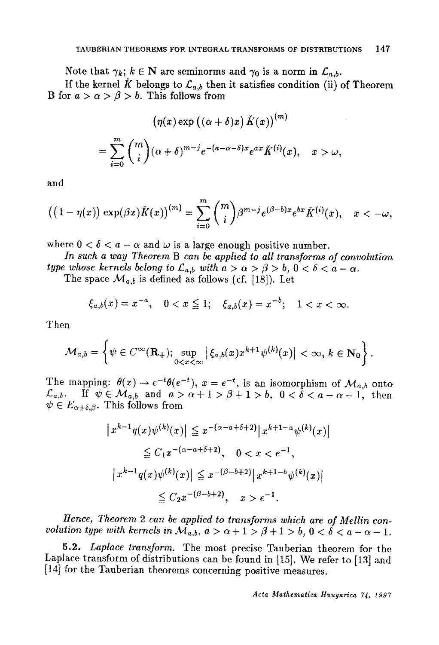Note that  $\gamma_k$ ;  $k \in \mathbb{N}$  are seminorms and  $\gamma_0$  is a norm in  $\mathcal{L}_{a,b}$ .

If the kernel  $\check{K}$  belongs to  $\mathcal{L}_{a,b}$  then it satisfies condition (ii) of Theorem B for  $a > \alpha > \beta > b$ . This follows from

$$
(\eta(x)\exp((\alpha+\delta)x)\check{K}(x))^{(m)}
$$
  
=
$$
\sum_{i=0}^{m} {m \choose i} (\alpha+\delta)^{m-j} e^{-(a-\alpha-\delta)x} e^{ax} \check{K}^{(i)}(x), \quad x > \omega,
$$

and

$$
((1-\eta(x))\exp(\beta x)\check{K}(x))^{(m)}=\sum_{i=0}^m\binom{m}{i}\beta^{m-j}e^{(\beta-b)x}e^{bx}\check{K}^{(i)}(x),\quad x<-\omega,
$$

where  $0 < \delta < a - \alpha$  and  $\omega$  is a large enough positive number.

*In such a way Theorem B can be applied to all transforms of convolution type whose kernels belong to*  $\mathcal{L}_{a,b}$  *with*  $a > \alpha > \beta > b, 0 < \delta < a - \alpha$ .

The space  $\mathcal{M}_{a,b}$  is defined as follows (cf. [18]). Let

$$
\xi_{a,b}(x) = x^{-a}, \quad 0 < x \leq 1; \quad \xi_{a,b}(x) = x^{-b}; \quad 1 < x < \infty.
$$

Then

$$
\mathcal{M}_{a,b} = \left\{ \psi \in C^{\infty}(\mathbf{R}_{+}); \sup_{0 < x < \infty} |\xi_{a,b}(x)x^{k+1}\psi^{(k)}(x)| < \infty, k \in \mathbf{N}_0 \right\}.
$$

The mapping:  $\theta(x) \rightarrow e^{-t}\theta(e^{-t}), x = e^{-t}$ , is an isomorphism of  $\mathcal{M}_{a,b}$  onto  $\mathcal{L}_{a,b}$ . If  $\psi \in \mathcal{M}_{a,b}$  and  $a > a+1 > \beta+1 > b$ ,  $0 < \delta < a-\alpha-1$ , then  $\psi \in E_{\alpha+\delta,\beta}$ . This follows from

$$
\left| x^{k-1} q(x) \psi^{(k)}(x) \right| \leq x^{-(\alpha - a + \delta + 2)} |x^{k+1-a} \psi^{(k)}(x)|
$$
  
\n
$$
\leq C_1 x^{-(\alpha - a + \delta + 2)}, \quad 0 < x < e^{-1},
$$
  
\n
$$
\left| x^{k-1} q(x) \psi^{(k)}(x) \right| \leq x^{-(\beta - b + 2)} |x^{k+1-b} \psi^{(k)}(x)|
$$
  
\n
$$
\leq C_2 x^{-(\beta - b + 2)}, \quad x > e^{-1}.
$$

Hence, Theorem 2 can be applied to transforms which are of Mellin con*volution type with kernels in*  $\mathcal{M}_{a,b}$ ,  $a > a+1 > \beta+1 > b$ ,  $0 < \delta < a-\alpha-1$ .

5.2. *Laplace transform.* The most precise Tauberian theorem for the Laplace transform of distributions can be found in [15]. We refer to [13] and [14] for the Tauberian theorems concerning positive measures.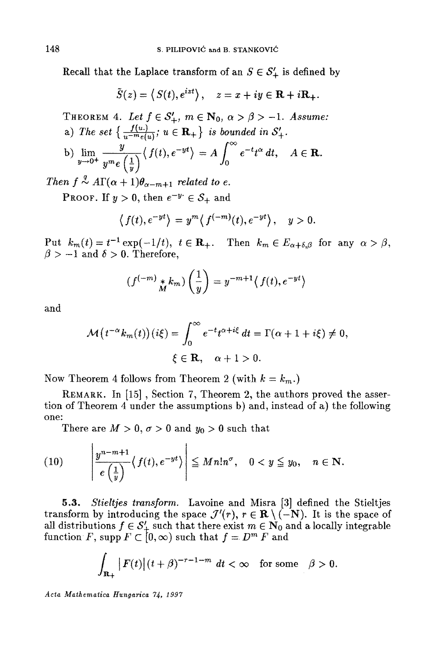Recall that the Laplace transform of an  $S \in \mathcal{S}'_+$  is defined by

$$
\tilde{S}(z) = \langle S(t), e^{izt} \rangle, \quad z = x + iy \in \mathbf{R} + i\mathbf{R}_+.
$$

THEOREM 4. Let  $f \in S'_+, m \in \mathbb{N}_0$ ,  $\alpha > \beta > -1$ . *Assume:* 

a) The set 
$$
\left\{\frac{1}{u-m_e(u)}; u \in \mathbf{R}_+\right\}
$$
 is bounded in  $S'_+$ .  
b)  $\lim_{y \to 0^+} \frac{y}{y^m e\left(\frac{1}{y}\right)} \left\langle f(t), e^{-yt} \right\rangle = A \int_0^\infty e^{-t} t^\alpha dt, \quad A \in \mathbf{R}$ .

*Then f*  $\stackrel{q}{\sim}$  AT $(\alpha + 1)\theta_{\alpha-m+1}$  *related to e.* 

**PROOF.** If  $y > 0$ , then  $e^{-y} \in S_+$  and

$$
\langle f(t), e^{-yt} \rangle = y^m \langle f^{(-m)}(t), e^{-yt} \rangle, \quad y > 0.
$$

Put  $k_m(t) = t^{-1} \exp(-1/t), t \in \mathbf{R}_+$ . Then  $k_m \in E_{\alpha+\delta,\beta}$  for any  $\alpha > \beta$ ,  $\beta > -1$  and  $\delta > 0$ . Therefore,

$$
(f^{(-m)} *_{M} k_{m}) \left(\frac{1}{y}\right) = y^{-m+1} \langle f(t), e^{-yt} \rangle
$$

and

$$
\mathcal{M}(t^{-\alpha}k_m(t))(i\xi) = \int_0^\infty e^{-t}t^{\alpha+i\xi} dt = \Gamma(\alpha+1+i\xi) \neq 0,
$$
  

$$
\xi \in \mathbf{R}, \quad \alpha+1 > 0.
$$

Now Theorem 4 follows from Theorem 2 (with  $k = k_m$ .)

REMARK. In [15] , Section 7, Theorem 2, the authors proved the assertion of Theorem 4 under the assumptions b) and, instead of a) the following one:

There are  $M > 0$ ,  $\sigma > 0$  and  $y_0 > 0$  such that

(10) 
$$
\left|\frac{y^{n-m+1}}{e\left(\frac{1}{y}\right)}\langle f(t), e^{-yt}\rangle\right| \leq Mn!n^{\sigma}, \quad 0 < y \leq y_0, \quad n \in \mathbb{N}.
$$

5.3. *Stieltjes transform.* Lavoine and Misra [3] defined the Stieltjes transform by introducing the space  $\mathcal{J}'(r)$ ,  $r \in \mathbf{R} \setminus (-\mathbf{N})$ . It is the space of all distributions  $f \in \mathcal{S}'_+$  such that there exist  $m \in \mathbb{N}_0$  and a locally integrable function  $F$ , supp  $F \subset [0,\infty)$  such that  $f = D^m F$  and

$$
\int_{\mathbf{R}_+} |F(t)| (t+\beta)^{-r-1-m} dt < \infty \quad \text{for some} \quad \beta > 0.
$$

Acta Mathematica Hungarica 74, 1997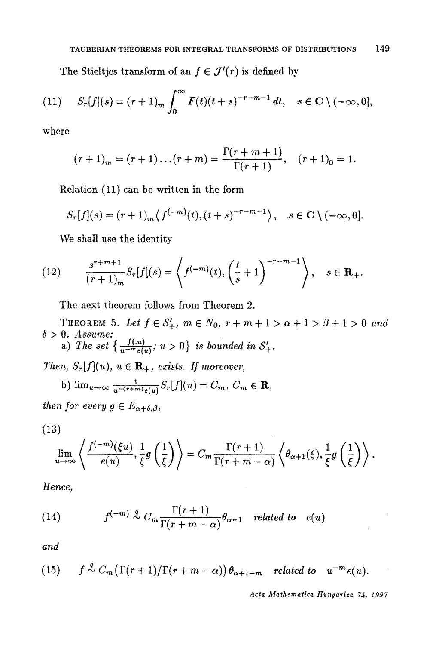The Stieltjes transform of an  $f \in \mathcal{J}'(r)$  is defined by

(11) 
$$
S_r[f](s) = (r+1)_m \int_0^\infty F(t)(t+s)^{-r-m-1} dt, \quad s \in \mathbb{C} \setminus (-\infty, 0],
$$

where

$$
(r+1)m = (r+1)...(r+m) = \frac{\Gamma(r+m+1)}{\Gamma(r+1)}, \quad (r+1)0 = 1.
$$

Relation (11) can be written in the form

$$
S_r[f](s) = (r+1)_m \langle f^{(-m)}(t), (t+s)^{-r-m-1} \rangle, \quad s \in \mathbf{C} \setminus (-\infty, 0].
$$

We shall use the identity

(12) 
$$
\frac{s^{r+m+1}}{(r+1)_m} S_r[f](s) = \left\langle f^{(-m)}(t), \left(\frac{t}{s}+1\right)^{-r-m-1} \right\rangle, \quad s \in \mathbf{R}_+.
$$

The next theorem follows from Theorem 2.

**THEOREM** 5. Let  $f \in S'_+$ ,  $m \in N_0$ ,  $r + m + 1 > \alpha + 1 > \beta + 1 > 0$  and  $\delta > 0$ . Assume: *a)* The set  $\left\{\frac{f(u)}{u - m e(u)}$ ;  $u > 0\right\}$  *is bounded in*  $S'_{+}$ *.* 

*Then,*  $S_r[f](u)$ ,  $u \in \mathbf{R}_+$ , exists. If moreover,

b) 
$$
\lim_{u \to \infty} \frac{1}{u^{-(r+m)}e(u)} S_r[f](u) = C_m, C_m \in \mathbf{R},
$$

*then for every*  $g \in E_{\alpha+\delta,\beta}$ *,* 

$$
(13)
$$

$$
\lim_{u\to\infty}\left\langle\frac{f^{(-m)}(\xi u)}{e(u)},\frac{1}{\xi}g\left(\frac{1}{\xi}\right)\right\rangle=C_m\frac{\Gamma(r+1)}{\Gamma(r+m-\alpha)}\left\langle\theta_{\alpha+1}(\xi),\frac{1}{\xi}g\left(\frac{1}{\xi}\right)\right\rangle.
$$

*Hence,* 

(14) 
$$
f^{(-m)} \stackrel{g}{\sim} C_m \frac{\Gamma(r+1)}{\Gamma(r+m-\alpha)} \theta_{\alpha+1} \quad related \ to \quad e(u)
$$

*and* 

(15) 
$$
f \stackrel{q}{\sim} C_m(\Gamma(r+1)/\Gamma(r+m-\alpha))\theta_{\alpha+1-m}
$$
 related to  $u^{-m}e(u)$ .

*Acta A4athematica Hungavica 7"\$, t997*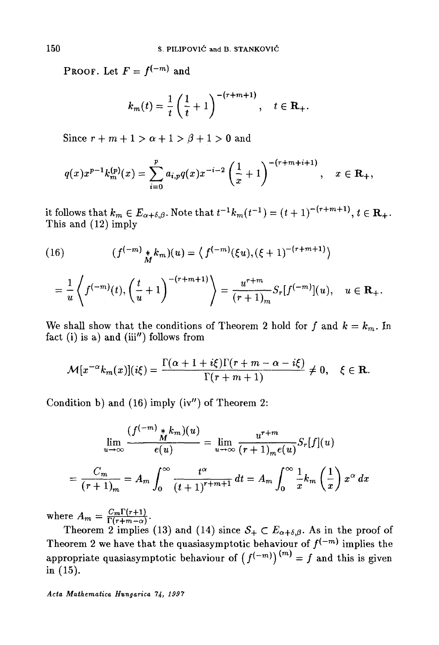PROOF. Let  $F = f^{(-m)}$  and

$$
k_m(t) = \frac{1}{t} \left( \frac{1}{t} + 1 \right)^{-(r+m+1)}, \quad t \in \mathbf{R}_+.
$$

Since  $r+m+1>\alpha+1>\beta+1>0$  and

$$
q(x)x^{p-1}k_m^{(p)}(x) = \sum_{i=0}^p a_{i,p}q(x)x^{-i-2}\left(\frac{1}{x}+1\right)^{-(r+m+i+1)}, \quad x \in \mathbf{R}_+,
$$

it follows that  $k_m \in E_{\alpha+\delta,\beta}$ . Note that  $t^{-1}k_m(t^{-1}) = (t+1)^{-(r+m+1)}$ ,  $t \in \mathbf{R}_+$ . This and (12) imply

(16) 
$$
(f^{(-m)} *_{M} k_{m})(u) = \langle f^{(-m)}(\xi u), (\xi + 1)^{-(r+m+1)} \rangle
$$

$$
= \frac{1}{u} \left\langle f^{(-m)}(t), \left( \frac{t}{u} + 1 \right)^{-(r+m+1)} \right\rangle = \frac{u^{r+m}}{(r+1)_m} S_r[f^{(-m)}](u), \quad u \in \mathbf{R}_+.
$$

We shall show that the conditions of Theorem 2 hold for f and  $k = k_m$ . In fact (i) is a) and (iii") follows from

$$
\mathcal{M}[x^{-\alpha}k_m(x)](i\xi)=\frac{\Gamma(\alpha+1+i\xi)\Gamma(r+m-\alpha-i\xi)}{\Gamma(r+m+1)}\neq 0, \quad \xi\in\mathbf{R}.
$$

Condition b) and (16) imply (iv") of Theorem 2:

$$
\lim_{u \to \infty} \frac{(f^{(-m)} \underset{M}{*} k_m)(u)}{e(u)} = \lim_{u \to \infty} \frac{u^{r+m}}{(r+1)_m e(u)} S_r[f](u)
$$

$$
= \frac{C_m}{(r+1)_m} = A_m \int_0^\infty \frac{t^\alpha}{(t+1)^{r+m+1}} dt = A_m \int_0^\infty \frac{1}{x} k_m \left(\frac{1}{x}\right) x^\alpha dx
$$

where  $A_m = \frac{C_m \Gamma(r+1)}{\Gamma(r+m-\alpha)}$ .

Theorem 2 implies (13) and (14) since  $S_+ \subset E_{\alpha+\delta,\beta}$ . As in the proof of Theorem 2 we have that the quasiasymptotic behaviour of  $f^{(-m)}$  implies the appropriate quasiasymptotic behaviour of  $(f^{(-m)})^{(m)} = f$  and this is given **in (15).** 

*Acta Mafhemalica Hungarica 7.4, 1997*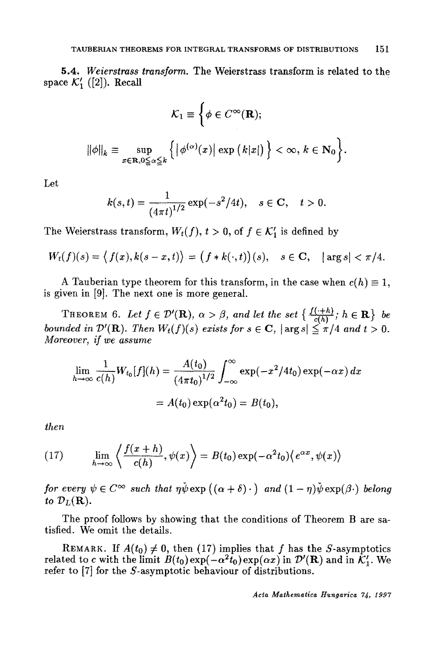5.4. *Weierstruss transform.* The Weierstrass transform is related to the space  $\mathcal{K}'_1$  ([2]). Recall

$$
\mathcal{K}_1 \equiv \left\{ \phi \in C^{\infty}(\mathbf{R});
$$
  

$$
\|\phi\|_{k} \equiv \sup_{x \in \mathbf{R}, 0 \leq \alpha \leq k} \left\{ \left| \phi^{(\alpha)}(x) \right| \exp(k|x|) \right\} < \infty, k \in \mathbf{N}_0 \right\}.
$$

Let

$$
k(s,t)=\frac{1}{(4\pi t)^{1/2}}\exp(-s^2/4t), \quad s\in\mathbf{C}, \quad t>0.
$$

The Weierstrass transform,  $W_t(f)$ ,  $t > 0$ , of  $f \in \mathcal{K}'_1$  is defined by

$$
W_t(f)(s) = \langle f(x), k(s-x,t) \rangle = (f * k(\cdot,t))(s), \quad s \in \mathbf{C}, \quad |\arg s| < \pi/4.
$$

A Tauberian type theorem for this transform, in the case when  $c(h) \equiv 1$ , is given in [9]. The next one is more general.

THEOREM 6. Let  $f \in \mathcal{D}'(\mathbf{R})$ ,  $\alpha > \beta$ , and let the set  $\left\{ \frac{f(\cdot+h)}{c(h)} : h \in \mathbf{R} \right\}$  be *bounded in*  $\mathcal{D}'(\mathbf{R})$ . Then  $W_t(f)(s)$  exists for  $s \in \mathbf{C}$ ,  $|\arg s| \leq \pi/4$  and  $t > 0$ . *Moreover, if we assume* 

$$
\lim_{h \to \infty} \frac{1}{c(h)} W_{t_0}[f](h) = \frac{A(t_0)}{(4\pi t_0)^{1/2}} \int_{-\infty}^{\infty} \exp(-x^2/4t_0) \exp(-\alpha x) dx
$$

$$
= A(t_0) \exp(\alpha^2 t_0) = B(t_0),
$$

*then* 

(17) 
$$
\lim_{h \to \infty} \left\langle \frac{f(x+h)}{c(h)}, \psi(x) \right\rangle = B(t_0) \exp(-\alpha^2 t_0) \left\langle e^{\alpha x}, \psi(x) \right\rangle
$$

*for every*  $\psi \in C^{\infty}$  *such that*  $\eta \check{\psi}$  exp $((\alpha + \delta) \cdot)$  *and*  $(1 - \eta) \check{\psi}$  exp $(\beta \cdot)$  *belong to*  $\mathcal{D}_L(\mathbf{R})$ .

The proof follows by showing that the conditions of Theorem B are satisfied. We omit the details.

REMARK. If  $A(t_0) \neq 0$ , then (17) implies that f has the S-asymptotics related to c with the limit  $B(t_0) \exp(-\alpha^2 t_0) \exp(\alpha x)$  in  $\mathcal{D}'(\mathbf{R})$  and in  $\mathcal{K}'_1$ . We refer to [7] for the S-asymptotic behaviour of distributions.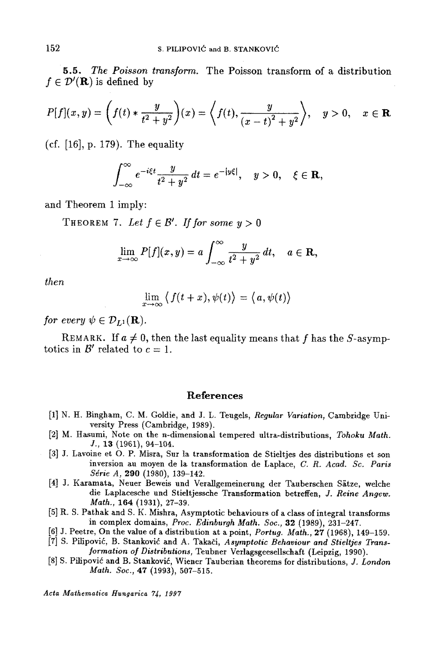**5.5.**  *The Poisson transform.* The Poisson transform of a distribution  $f \in \mathcal{D}'(\mathbf{R})$  is defined by

$$
P[f](x,y) = \left(f(t) * \frac{y}{t^2 + y^2}\right)(x) = \left\langle f(t), \frac{y}{(x-t)^2 + y^2}\right\rangle, \quad y > 0, \quad x \in \mathbb{R}
$$

(cf.  $[16]$ , p. 179). The equality

$$
\int_{-\infty}^{\infty} e^{-i\xi t} \frac{y}{t^2 + y^2} dt = e^{-|y\xi|}, \quad y > 0, \quad \xi \in \mathbf{R},
$$

and Theorem 1 imply:

THEOREM 7. Let  $f \in \mathcal{B}'$ . If for some  $y > 0$ 

$$
\lim_{x \to \infty} P[f](x, y) = a \int_{-\infty}^{\infty} \frac{y}{t^2 + y^2} dt, \quad a \in \mathbf{R},
$$

*then* 

$$
\lim_{x\to\infty}\big\langle f(t+x),\psi(t)\big\rangle=\big\langle a,\psi(t)\big\rangle
$$

*for every*  $\psi \in \mathcal{D}_{L_1}(\mathbf{R})$ .

REMARK. If  $a \neq 0$ , then the last equality means that f has the S-asymptotics in  $\mathcal{B}'$  related to  $c = 1$ .

#### References

- [1] N. H. Bingham, C. M. Goldie, and J. L. Teugels, *Regular Variation,* Cambridge University Press (Cambridge, 1989).
- [2] M. Hasumi, Note on the n-dimensional tempered ultra-distributions, *Tohoku Math.*  J., 13 (1961), 94-194.
- [3] J. Lavoine et O. P. Misra, Sur ta transformation de Stieltjes des distributions et son inversion au moyen de la transformation de Laplace, *C. R. Acad. Sc. Paris Sdrie A,* 290 (1980), 139-142.
- [4] J. Karamata, Neuer Beweis und Verallgemeinerung der Tauberschen Sätze, welche die Laplacesche und Stieltjessche Transformation betreffen, *J. Reine Angew. Math.,* 164 (1931), 27-39.
- [5] R. S. Pathak and S. K. Mishra, Asymptotic behaviours of a class of integral transforms in complex domains, *Proc. Edinburgh Math. Soc.,* 32 (1989), 231-247.
- [6] 3. Peetre, On the value of a distribution at a point, *Portug. Math.,* 27 (1968), 149-159.
- [7] S. Pilipović, B. Stanković and A. Takači, *Asymptotic Behaviour and Stieltjes Transformation of Distributions,* Teubner Verlagsgeesellschaft (Leipzig, 1990).
- [8] S. Pilipovid and B. Stankovi6, Wiener Tauberian theorems for distributions, *J. London Math. Soc.,* 47 (1993), 507-515.

*Acta Mathematica Hungarica 74, i997*